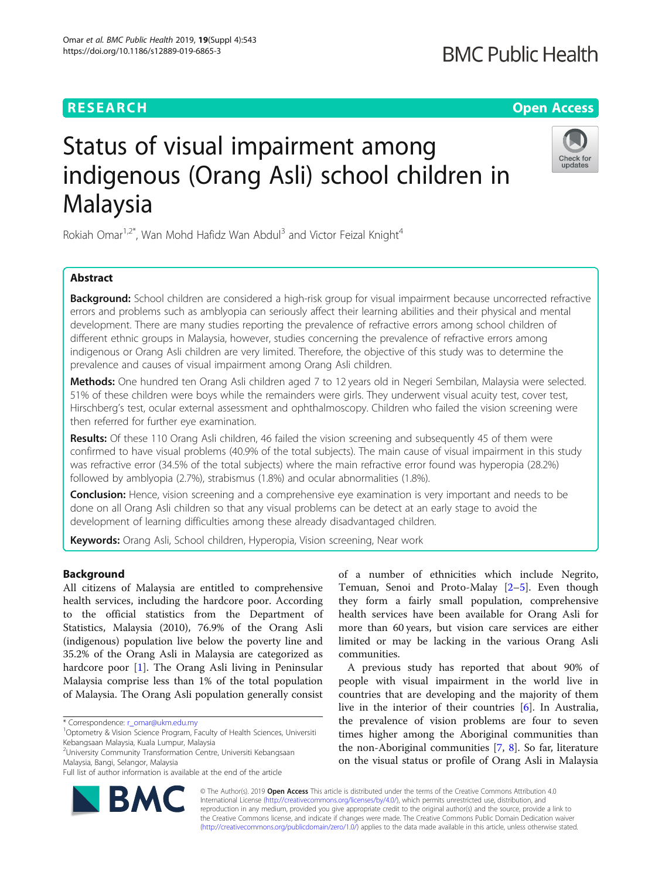Omar et al. BMC Public Health 2019, 19(Suppl 4):543 https://doi.org/10.1186/s12889-019-6865-3

# Status of visual impairment among indigenous (Orang Asli) school children in Malaysia



Rokiah Omar<sup>1,2\*</sup>, Wan Mohd Hafidz Wan Abdul<sup>3</sup> and Victor Feizal Knight<sup>4</sup>

# Abstract

Background: School children are considered a high-risk group for visual impairment because uncorrected refractive errors and problems such as amblyopia can seriously affect their learning abilities and their physical and mental development. There are many studies reporting the prevalence of refractive errors among school children of different ethnic groups in Malaysia, however, studies concerning the prevalence of refractive errors among indigenous or Orang Asli children are very limited. Therefore, the objective of this study was to determine the prevalence and causes of visual impairment among Orang Asli children.

Methods: One hundred ten Orang Asli children aged 7 to 12 years old in Negeri Sembilan, Malaysia were selected. 51% of these children were boys while the remainders were girls. They underwent visual acuity test, cover test, Hirschberg's test, ocular external assessment and ophthalmoscopy. Children who failed the vision screening were then referred for further eye examination.

Results: Of these 110 Orang Asli children, 46 failed the vision screening and subsequently 45 of them were confirmed to have visual problems (40.9% of the total subjects). The main cause of visual impairment in this study was refractive error (34.5% of the total subjects) where the main refractive error found was hyperopia (28.2%) followed by amblyopia (2.7%), strabismus (1.8%) and ocular abnormalities (1.8%).

**Conclusion:** Hence, vision screening and a comprehensive eye examination is very important and needs to be done on all Orang Asli children so that any visual problems can be detect at an early stage to avoid the development of learning difficulties among these already disadvantaged children.

Keywords: Orang Asli, School children, Hyperopia, Vision screening, Near work

# Background

All citizens of Malaysia are entitled to comprehensive health services, including the hardcore poor. According to the official statistics from the Department of Statistics, Malaysia (2010), 76.9% of the Orang Asli (indigenous) population live below the poverty line and 35.2% of the Orang Asli in Malaysia are categorized as hardcore poor [[1\]](#page-4-0). The Orang Asli living in Peninsular Malaysia comprise less than 1% of the total population of Malaysia. The Orang Asli population generally consist

of a number of ethnicities which include Negrito, Temuan, Senoi and Proto-Malay [[2](#page-4-0)–[5\]](#page-4-0). Even though they form a fairly small population, comprehensive health services have been available for Orang Asli for more than 60 years, but vision care services are either limited or may be lacking in the various Orang Asli communities.

A previous study has reported that about 90% of people with visual impairment in the world live in countries that are developing and the majority of them live in the interior of their countries [\[6\]](#page-4-0). In Australia, the prevalence of vision problems are four to seven times higher among the Aboriginal communities than the non-Aboriginal communities [\[7](#page-4-0), [8\]](#page-4-0). So far, literature on the visual status or profile of Orang Asli in Malaysia



© The Author(s). 2019 **Open Access** This article is distributed under the terms of the Creative Commons Attribution 4.0 International License [\(http://creativecommons.org/licenses/by/4.0/](http://creativecommons.org/licenses/by/4.0/)), which permits unrestricted use, distribution, and reproduction in any medium, provided you give appropriate credit to the original author(s) and the source, provide a link to the Creative Commons license, and indicate if changes were made. The Creative Commons Public Domain Dedication waiver [\(http://creativecommons.org/publicdomain/zero/1.0/](http://creativecommons.org/publicdomain/zero/1.0/)) applies to the data made available in this article, unless otherwise stated.

<sup>\*</sup> Correspondence: [r\\_omar@ukm.edu.my](mailto:r_omar@ukm.edu.my) <sup>1</sup>

<sup>&</sup>lt;sup>1</sup>Optometry & Vision Science Program, Faculty of Health Sciences, Universiti Kebangsaan Malaysia, Kuala Lumpur, Malaysia

<sup>2</sup> University Community Transformation Centre, Universiti Kebangsaan Malaysia, Bangi, Selangor, Malaysia

Full list of author information is available at the end of the article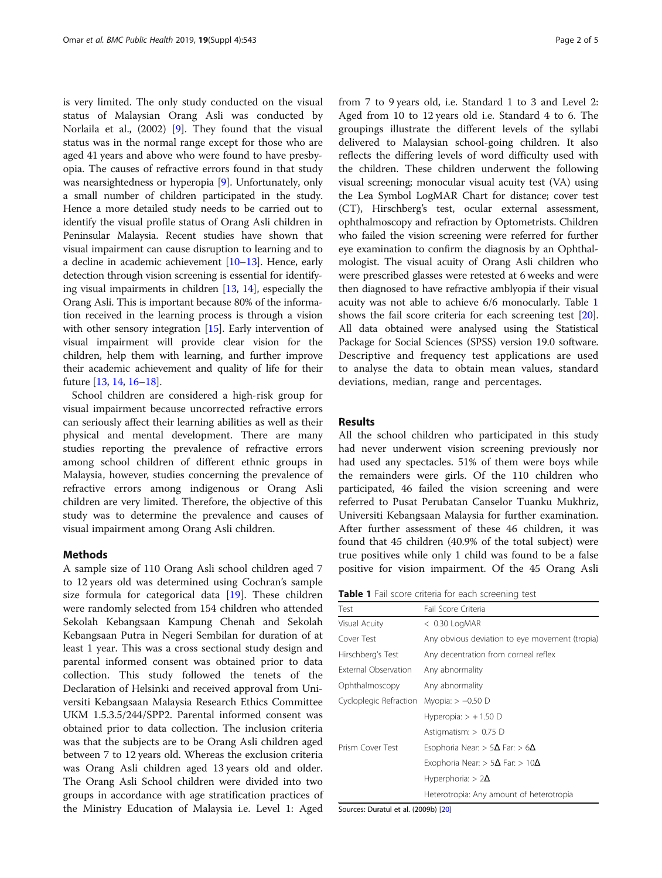is very limited. The only study conducted on the visual status of Malaysian Orang Asli was conducted by Norlaila et al., (2002) [[9\]](#page-4-0). They found that the visual status was in the normal range except for those who are aged 41 years and above who were found to have presbyopia. The causes of refractive errors found in that study was nearsightedness or hyperopia [[9\]](#page-4-0). Unfortunately, only a small number of children participated in the study. Hence a more detailed study needs to be carried out to identify the visual profile status of Orang Asli children in Peninsular Malaysia. Recent studies have shown that visual impairment can cause disruption to learning and to a decline in academic achievement [\[10](#page-4-0)–[13](#page-4-0)]. Hence, early detection through vision screening is essential for identifying visual impairments in children  $[13, 14]$  $[13, 14]$  $[13, 14]$  $[13, 14]$ , especially the Orang Asli. This is important because 80% of the information received in the learning process is through a vision with other sensory integration [\[15\]](#page-4-0). Early intervention of visual impairment will provide clear vision for the children, help them with learning, and further improve their academic achievement and quality of life for their future [[13](#page-4-0), [14,](#page-4-0) [16](#page-4-0)–[18](#page-4-0)].

School children are considered a high-risk group for visual impairment because uncorrected refractive errors can seriously affect their learning abilities as well as their physical and mental development. There are many studies reporting the prevalence of refractive errors among school children of different ethnic groups in Malaysia, however, studies concerning the prevalence of refractive errors among indigenous or Orang Asli children are very limited. Therefore, the objective of this study was to determine the prevalence and causes of visual impairment among Orang Asli children.

#### Methods

A sample size of 110 Orang Asli school children aged 7 to 12 years old was determined using Cochran's sample size formula for categorical data [[19](#page-4-0)]. These children were randomly selected from 154 children who attended Sekolah Kebangsaan Kampung Chenah and Sekolah Kebangsaan Putra in Negeri Sembilan for duration of at least 1 year. This was a cross sectional study design and parental informed consent was obtained prior to data collection. This study followed the tenets of the Declaration of Helsinki and received approval from Universiti Kebangsaan Malaysia Research Ethics Committee UKM 1.5.3.5/244/SPP2. Parental informed consent was obtained prior to data collection. The inclusion criteria was that the subjects are to be Orang Asli children aged between 7 to 12 years old. Whereas the exclusion criteria was Orang Asli children aged 13 years old and older. The Orang Asli School children were divided into two groups in accordance with age stratification practices of the Ministry Education of Malaysia i.e. Level 1: Aged from 7 to 9 years old, i.e. Standard 1 to 3 and Level 2: Aged from 10 to 12 years old i.e. Standard 4 to 6. The groupings illustrate the different levels of the syllabi delivered to Malaysian school-going children. It also reflects the differing levels of word difficulty used with the children. These children underwent the following visual screening; monocular visual acuity test (VA) using the Lea Symbol LogMAR Chart for distance; cover test (CT), Hirschberg's test, ocular external assessment, ophthalmoscopy and refraction by Optometrists. Children who failed the vision screening were referred for further eye examination to confirm the diagnosis by an Ophthalmologist. The visual acuity of Orang Asli children who were prescribed glasses were retested at 6 weeks and were then diagnosed to have refractive amblyopia if their visual acuity was not able to achieve 6/6 monocularly. Table 1 shows the fail score criteria for each screening test [[20](#page-4-0)]. All data obtained were analysed using the Statistical Package for Social Sciences (SPSS) version 19.0 software. Descriptive and frequency test applications are used to analyse the data to obtain mean values, standard deviations, median, range and percentages.

#### Results

All the school children who participated in this study had never underwent vision screening previously nor had used any spectacles. 51% of them were boys while the remainders were girls. Of the 110 children who participated, 46 failed the vision screening and were referred to Pusat Perubatan Canselor Tuanku Mukhriz, Universiti Kebangsaan Malaysia for further examination. After further assessment of these 46 children, it was found that 45 children (40.9% of the total subject) were true positives while only 1 child was found to be a false positive for vision impairment. Of the 45 Orang Asli

Table 1 Fail score criteria for each screening test

| Test                   | Fail Score Criteria                             |  |  |  |  |
|------------------------|-------------------------------------------------|--|--|--|--|
| Visual Acuity          | $<$ 0.30 LogMAR                                 |  |  |  |  |
| Cover Test             | Any obvious deviation to eye movement (tropia)  |  |  |  |  |
| Hirschberg's Test      | Any decentration from corneal reflex            |  |  |  |  |
| External Observation   | Any abnormality                                 |  |  |  |  |
| Ophthalmoscopy         | Any abnormality                                 |  |  |  |  |
| Cycloplegic Refraction | Myopia: $> -0.50$ D                             |  |  |  |  |
|                        | Hyperopia: $> +1.50$ D                          |  |  |  |  |
|                        | Astigmatism: $> 0.75$ D                         |  |  |  |  |
| Prism Cover Test       | Esophoria Near: $> 5\Delta$ Far: $> 6\Delta$    |  |  |  |  |
|                        | Exophoria Near: > 5 $\Delta$ Far: > 10 $\Delta$ |  |  |  |  |
|                        | Hyperphoria: $> 2\Delta$                        |  |  |  |  |
|                        | Heterotropia: Any amount of heterotropia        |  |  |  |  |

Sources: Duratul et al. (2009b) [\[20\]](#page-4-0)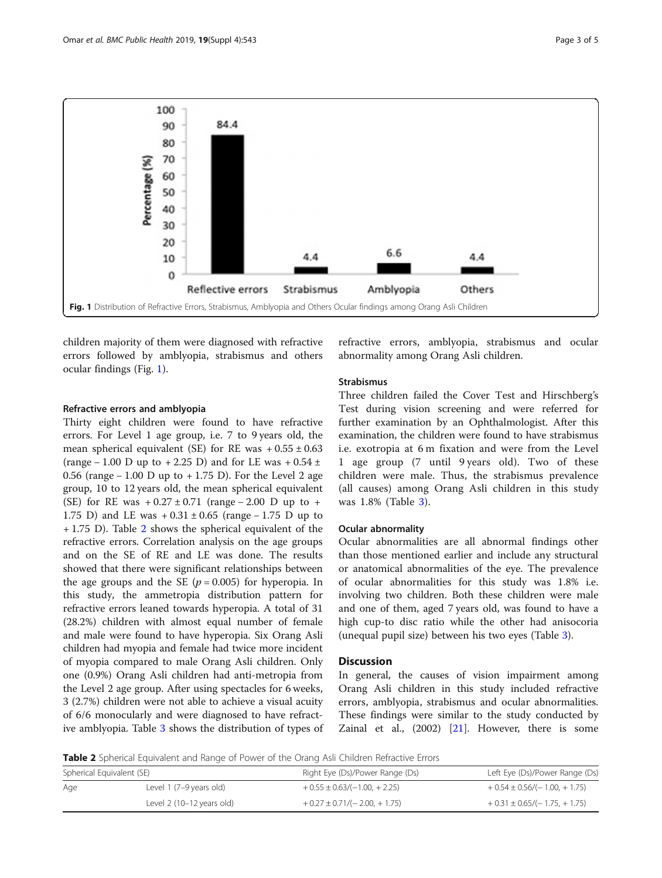

children majority of them were diagnosed with refractive errors followed by amblyopia, strabismus and others ocular findings (Fig. 1).

#### Refractive errors and amblyopia

Thirty eight children were found to have refractive errors. For Level 1 age group, i.e. 7 to 9 years old, the mean spherical equivalent (SE) for RE was  $+0.55 \pm 0.63$ (range – 1.00 D up to + 2.25 D) and for LE was +  $0.54 \pm$ 0.56 (range − 1.00 D up to + 1.75 D). For the Level 2 age group, 10 to 12 years old, the mean spherical equivalent (SE) for RE was  $+0.27 \pm 0.71$  (range – 2.00 D up to + 1.75 D) and LE was  $+0.31 \pm 0.65$  (range – 1.75 D up to + 1.75 D). Table 2 shows the spherical equivalent of the refractive errors. Correlation analysis on the age groups and on the SE of RE and LE was done. The results showed that there were significant relationships between the age groups and the SE ( $p = 0.005$ ) for hyperopia. In this study, the ammetropia distribution pattern for refractive errors leaned towards hyperopia. A total of 31 (28.2%) children with almost equal number of female and male were found to have hyperopia. Six Orang Asli children had myopia and female had twice more incident of myopia compared to male Orang Asli children. Only one (0.9%) Orang Asli children had anti-metropia from the Level 2 age group. After using spectacles for 6 weeks, 3 (2.7%) children were not able to achieve a visual acuity of 6/6 monocularly and were diagnosed to have refractive amblyopia. Table [3](#page-3-0) shows the distribution of types of refractive errors, amblyopia, strabismus and ocular abnormality among Orang Asli children.

## Strabismus

Three children failed the Cover Test and Hirschberg's Test during vision screening and were referred for further examination by an Ophthalmologist. After this examination, the children were found to have strabismus i.e. exotropia at 6 m fixation and were from the Level 1 age group (7 until 9 years old). Two of these children were male. Thus, the strabismus prevalence (all causes) among Orang Asli children in this study was 1.8% (Table [3\)](#page-3-0).

#### Ocular abnormality

Ocular abnormalities are all abnormal findings other than those mentioned earlier and include any structural or anatomical abnormalities of the eye. The prevalence of ocular abnormalities for this study was 1.8% i.e. involving two children. Both these children were male and one of them, aged 7 years old, was found to have a high cup-to disc ratio while the other had anisocoria (unequal pupil size) between his two eyes (Table [3\)](#page-3-0).

### **Discussion**

In general, the causes of vision impairment among Orang Asli children in this study included refractive errors, amblyopia, strabismus and ocular abnormalities. These findings were similar to the study conducted by Zainal et al., (2002) [[21](#page-4-0)]. However, there is some

**Table 2** Spherical Equivalent and Range of Power of the Orang Asli Children Refractive Errors

| Spherical Equivalent (SE) |                                    | Right Eye (Ds)/Power Range (Ds) | Left Eye (Ds)/Power Range (Ds)  |  |  |
|---------------------------|------------------------------------|---------------------------------|---------------------------------|--|--|
| Age                       | Level 1 (7–9 years old)            | $+0.55 \pm 0.63/(-1.00 + 2.25)$ | $+0.54 \pm 0.56/(-1.00, +1.75)$ |  |  |
|                           | Level $2(10-12 \text{ years old})$ | $+0.27 \pm 0.71/(-2.00, +1.75)$ | $+0.31 \pm 0.65/(-1.75, +1.75)$ |  |  |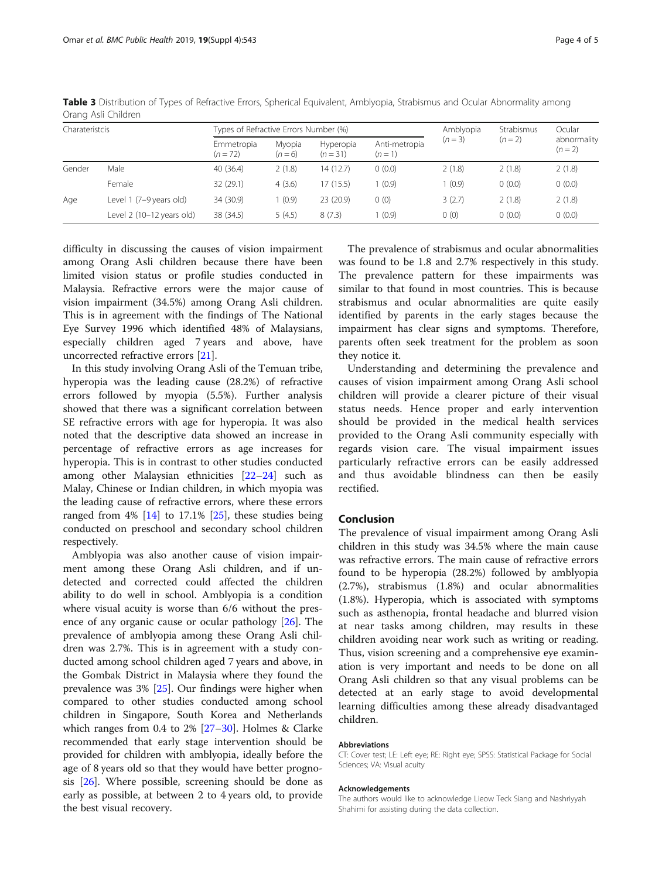| Charateristcis |                           | Types of Refractive Errors Number (%) |                   |                       |                          | Amblyopia | Strabismus | Ocular                 |
|----------------|---------------------------|---------------------------------------|-------------------|-----------------------|--------------------------|-----------|------------|------------------------|
|                |                           | Emmetropia<br>$(n = 72)$              | Myopia<br>$(n=6)$ | Hyperopia<br>$(n=31)$ | Anti-metropia<br>$(n=1)$ | $(n=3)$   | $(n=2)$    | abnormality<br>$(n=2)$ |
| Gender         | Male                      | 40(36.4)                              | 2(1.8)            | 14 (12.7)             | 0(0.0)                   | 2(1.8)    | 2(1.8)     | 2(1.8)                 |
|                | Female                    | 32(29.1)                              | 4(3.6)            | 17 (15.5)             | (0.9)                    | 1(0.9)    | 0(0.0)     | 0(0.0)                 |
| Age            | Level 1 (7–9 years old)   | 34 (30.9)                             | 1(0.9)            | 23(20.9)              | 0(0)                     | 3(2.7)    | 2(1.8)     | 2(1.8)                 |
|                | Level 2 (10-12 years old) | 38 (34.5)                             | 5(4.5)            | 8(7.3)                | (0.9)                    | 0(0)      | 0(0.0)     | 0(0.0)                 |

<span id="page-3-0"></span>Table 3 Distribution of Types of Refractive Errors, Spherical Equivalent, Amblyopia, Strabismus and Ocular Abnormality among Orang Asli Children

difficulty in discussing the causes of vision impairment among Orang Asli children because there have been limited vision status or profile studies conducted in Malaysia. Refractive errors were the major cause of vision impairment (34.5%) among Orang Asli children. This is in agreement with the findings of The National Eye Survey 1996 which identified 48% of Malaysians, especially children aged 7 years and above, have uncorrected refractive errors [\[21](#page-4-0)].

In this study involving Orang Asli of the Temuan tribe, hyperopia was the leading cause (28.2%) of refractive errors followed by myopia (5.5%). Further analysis showed that there was a significant correlation between SE refractive errors with age for hyperopia. It was also noted that the descriptive data showed an increase in percentage of refractive errors as age increases for hyperopia. This is in contrast to other studies conducted among other Malaysian ethnicities [\[22](#page-4-0)–[24](#page-4-0)] such as Malay, Chinese or Indian children, in which myopia was the leading cause of refractive errors, where these errors ranged from  $4\%$  [\[14](#page-4-0)] to 17.1% [[25\]](#page-4-0), these studies being conducted on preschool and secondary school children respectively.

Amblyopia was also another cause of vision impairment among these Orang Asli children, and if undetected and corrected could affected the children ability to do well in school. Amblyopia is a condition where visual acuity is worse than 6/6 without the presence of any organic cause or ocular pathology [[26\]](#page-4-0). The prevalence of amblyopia among these Orang Asli children was 2.7%. This is in agreement with a study conducted among school children aged 7 years and above, in the Gombak District in Malaysia where they found the prevalence was 3% [[25\]](#page-4-0). Our findings were higher when compared to other studies conducted among school children in Singapore, South Korea and Netherlands which ranges from 0.4 to 2% [[27](#page-4-0)–[30](#page-4-0)]. Holmes & Clarke recommended that early stage intervention should be provided for children with amblyopia, ideally before the age of 8 years old so that they would have better prognosis [[26\]](#page-4-0). Where possible, screening should be done as early as possible, at between 2 to 4 years old, to provide the best visual recovery.

The prevalence of strabismus and ocular abnormalities was found to be 1.8 and 2.7% respectively in this study. The prevalence pattern for these impairments was similar to that found in most countries. This is because strabismus and ocular abnormalities are quite easily identified by parents in the early stages because the impairment has clear signs and symptoms. Therefore, parents often seek treatment for the problem as soon they notice it.

Understanding and determining the prevalence and causes of vision impairment among Orang Asli school children will provide a clearer picture of their visual status needs. Hence proper and early intervention should be provided in the medical health services provided to the Orang Asli community especially with regards vision care. The visual impairment issues particularly refractive errors can be easily addressed and thus avoidable blindness can then be easily rectified.

### Conclusion

The prevalence of visual impairment among Orang Asli children in this study was 34.5% where the main cause was refractive errors. The main cause of refractive errors found to be hyperopia (28.2%) followed by amblyopia (2.7%), strabismus (1.8%) and ocular abnormalities (1.8%). Hyperopia, which is associated with symptoms such as asthenopia, frontal headache and blurred vision at near tasks among children, may results in these children avoiding near work such as writing or reading. Thus, vision screening and a comprehensive eye examination is very important and needs to be done on all Orang Asli children so that any visual problems can be detected at an early stage to avoid developmental learning difficulties among these already disadvantaged children.

#### Abbreviations

CT: Cover test; LE: Left eye; RE: Right eye; SPSS: Statistical Package for Social Sciences; VA: Visual acuity

#### Acknowledgements

The authors would like to acknowledge Lieow Teck Siang and Nashriyyah Shahimi for assisting during the data collection.